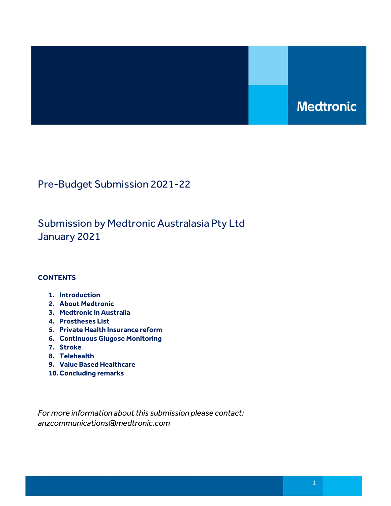# **Medtronic**

Pre-Budget Submission 2021-22

Submission by Medtronic Australasia Pty Ltd January 2021

# **CONTENTS**

- 1. Introduction
- 2. About Medtronic
- 3. Medtronic in Australia
- 4. Prostheses List
- 5. Private Health Insurance reform
- 6. Continuous Glugose Monitoring
- 7. Stroke
- 8. Telehealth
- 9. Value Based Healthcare
- 10.Concluding remarks

For more information about this submission please contact: anzcommunications@medtronic.com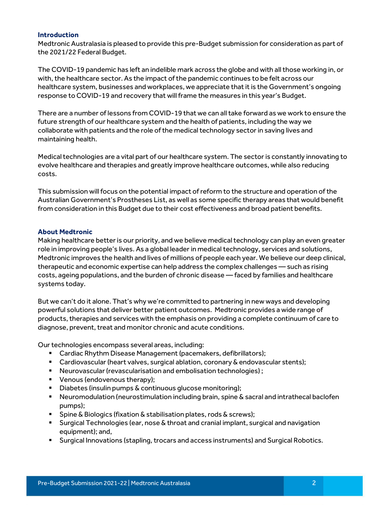# Introduction

Medtronic Australasia is pleased to provide this pre-Budget submission for consideration as part of the 2021/22 Federal Budget.

The COVID-19 pandemic has left an indelible mark across the globe and with all those working in, or with, the healthcare sector. As the impact of the pandemic continues to be felt across our healthcare system, businesses and workplaces, we appreciate that it is the Government's ongoing response to COVID-19 and recovery that will frame the measures in this year's Budget.

There are a number of lessons from COVID-19 that we can all take forward as we work to ensure the future strength of our healthcare system and the health of patients, including the way we collaborate with patients and the role of the medical technology sector in saving lives and maintaining health.

Medical technologies are a vital part of our healthcare system. The sector is constantly innovating to evolve healthcare and therapies and greatly improve healthcare outcomes, while also reducing costs.

This submission will focus on the potential impact of reform to the structure and operation of the Australian Government's Prostheses List, as well as some specific therapy areas that would benefit from consideration in this Budget due to their cost effectiveness and broad patient benefits.

## About Medtronic

Making healthcare better is our priority, and we believe medical technology can play an even greater role in improving people's lives. As a global leader in medical technology, services and solutions, Medtronic improves the health and lives of millions of people each year. We believe our deep clinical, therapeutic and economic expertise can help address the complex challenges — such as rising costs, ageing populations, and the burden of chronic disease — faced by families and healthcare systems today.

But we can't do it alone. That's why we're committed to partnering in new ways and developing powerful solutions that deliver better patient outcomes. Medtronic provides a wide range of products, therapies and services with the emphasis on providing a complete continuum of care to diagnose, prevent, treat and monitor chronic and acute conditions.

Our technologies encompass several areas, including:

- Cardiac Rhythm Disease Management (pacemakers, defibrillators);
- Cardiovascular (heart valves, surgical ablation, coronary & endovascular stents);
- Neurovascular (revascularisation and embolisation technologies) ;
- Venous (endovenous therapy);
- Diabetes (insulin pumps & continuous glucose monitoring);
- Neuromodulation (neurostimulation including brain, spine & sacral and intrathecal baclofen pumps);
- **Spine & Biologics (fixation & stabilisation plates, rods & screws);**
- Surgical Technologies (ear, nose & throat and cranial implant, surgical and navigation equipment); and,
- Surgical Innovations (stapling, trocars and access instruments) and Surgical Robotics.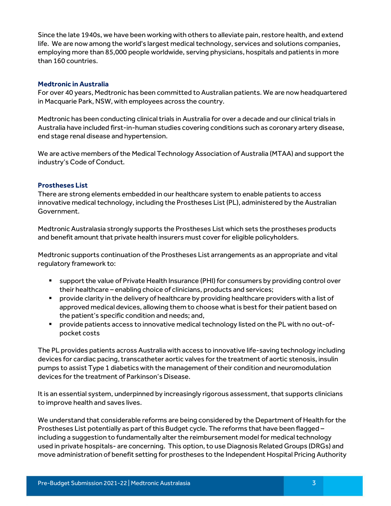Since the late 1940s, we have been working with others to alleviate pain, restore health, and extend life. We are now among the world's largest medical technology, services and solutions companies, employing more than 85,000 people worldwide, serving physicians, hospitals and patients in more than 160 countries.

## Medtronic in Australia

For over 40 years, Medtronic has been committed to Australian patients. We are now headquartered in Macquarie Park, NSW, with employees across the country.

Medtronic has been conducting clinical trials in Australia for over a decade and our clinical trials in Australia have included first-in-human studies covering conditions such as coronary artery disease, end stage renal disease and hypertension.

We are active members of the Medical Technology Association of Australia (MTAA) and support the industry's Code of Conduct.

## Prostheses List

There are strong elements embedded in our healthcare system to enable patients to access innovative medical technology, including the Prostheses List (PL), administered by the Australian Government.

Medtronic Australasia strongly supports the Prostheses List which sets the prostheses products and benefit amount that private health insurers must cover for eligible policyholders.

Medtronic supports continuation of the Prostheses List arrangements as an appropriate and vital regulatory framework to:

- support the value of Private Health Insurance (PHI) for consumers by providing control over their healthcare – enabling choice of clinicians, products and services;
- **Perovide clarity in the delivery of healthcare by providing healthcare providers with a list of** approved medical devices, allowing them to choose what is best for their patient based on the patient's specific condition and needs; and,
- provide patients access to innovative medical technology listed on the PL with no out-ofpocket costs

The PL provides patients across Australia with access to innovative life-saving technology including devices for cardiac pacing, transcatheter aortic valves for the treatment of aortic stenosis, insulin pumps to assist Type 1 diabetics with the management of their condition and neuromodulation devices for the treatment of Parkinson's Disease.

It is an essential system, underpinned by increasingly rigorous assessment, that supports clinicians to improve health and saves lives.

We understand that considerable reforms are being considered by the Department of Health for the Prostheses List potentially as part of this Budget cycle. The reforms that have been flagged – including a suggestion to fundamentally alter the reimbursement model for medical technology used in private hospitals- are concerning. This option, to use Diagnosis Related Groups (DRGs) and move administration of benefit setting for prostheses to the Independent Hospital Pricing Authority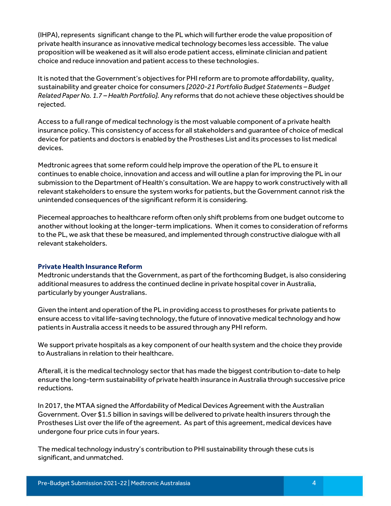(IHPA), represents significant change to the PL which will further erode the value proposition of private health insurance as innovative medical technology becomes less accessible. The value proposition will be weakened as it will also erode patient access, eliminate clinician and patient choice and reduce innovation and patient access to these technologies.

It is noted that the Government's objectives for PHI reform are to promote affordability, quality, sustainability and greater choice for consumers [2020-21 Portfolio Budget Statements – Budget Related Paper No. 1.7 – Health Portfolio]. Any reforms that do not achieve these objectives should be rejected.

Access to a full range of medical technology is the most valuable component of a private health insurance policy. This consistency of access for all stakeholders and guarantee of choice of medical device for patients and doctors is enabled by the Prostheses List and its processes to list medical devices.

Medtronic agrees that some reform could help improve the operation of the PL to ensure it continues to enable choice, innovation and access and will outline a plan for improving the PL in our submission to the Department of Health's consultation. We are happy to work constructively with all relevant stakeholders to ensure the system works for patients, but the Government cannot risk the unintended consequences of the significant reform it is considering.

Piecemeal approaches to healthcare reform often only shift problems from one budget outcome to another without looking at the longer-term implications. When it comes to consideration of reforms to the PL, we ask that these be measured, and implemented through constructive dialogue with all relevant stakeholders.

#### Private Health Insurance Reform

Medtronic understands that the Government, as part of the forthcoming Budget, is also considering additional measures to address the continued decline in private hospital cover in Australia, particularly by younger Australians.

Given the intent and operation of the PL in providing access to prostheses for private patients to ensure access to vital life-saving technology, the future of innovative medical technology and how patients in Australia access it needs to be assured through any PHI reform.

We support private hospitals as a key component of our health system and the choice they provide to Australians in relation to their healthcare.

Afterall, it is the medical technology sector that has made the biggest contribution to-date to help ensure the long-term sustainability of private health insurance in Australia through successive price reductions.

In 2017, the MTAA signed the Affordability of Medical Devices Agreement with the Australian Government. Over \$1.5 billion in savings will be delivered to private health insurers through the Prostheses List over the life of the agreement. As part of this agreement, medical devices have undergone four price cuts in four years.

The medical technology industry's contribution to PHI sustainability through these cuts is significant, and unmatched.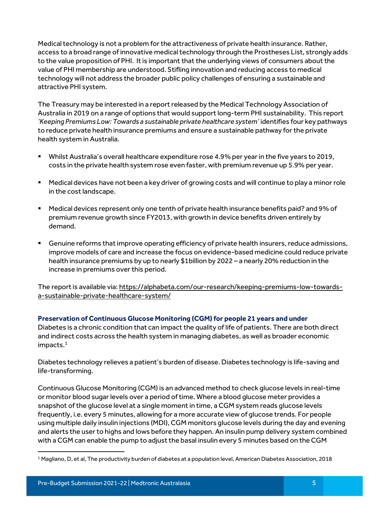Medical technology is not a problem for the attractiveness of private health insurance. Rather, access to a broad range of innovative medical technology through the Prostheses List, strongly adds to the value proposition of PHI. It is important that the underlying views of consumers about the value of PHI membership are understood. Stifling innovation and reducing access to medical technology will not address the broader public policy challenges of ensuring a sustainable and attractive PHI system.

The Treasury may be interested in a report released by the Medical Technology Association of Australia in 2019 on a range of options that would support long-term PHI sustainability. This report 'Keeping Premiums Low: Towards a sustainable private healthcare system' identifies four key pathways to reduce private health insurance premiums and ensure a sustainable pathway for the private health system in Australia.

- Whilst Australia's overall healthcare expenditure rose 4.9% per year in the five years to 2019, costs in the private health system rose even faster, with premium revenue up 5.9% per year.
- Medical devices have not been a key driver of growing costs and will continue to play a minor role in the cost landscape.
- Medical devices represent only one tenth of private health insurance benefits paid? and 9% of premium revenue growth since FY2013, with growth in device benefits driven entirely by demand.
- Genuine reforms that improve operating efficiency of private health insurers, reduce admissions, improve models of care and increase the focus on evidence-based medicine could reduce private health insurance premiums by up to nearly \$1billion by 2022 – a nearly 20% reduction in the increase in premiums over this period.

The report is available via: https://alphabeta.com/our-research/keeping-premiums-low-towardsa-sustainable-private-healthcare-system/

# Preservation of Continuous Glucose Monitoring (CGM) for people 21 years and under

Diabetes is a chronic condition that can impact the quality of life of patients. There are both direct and indirect costs across the health system in managing diabetes, as well as broader economic impacts. $^{\rm 1}$ 

Diabetes technology relieves a patient's burden of disease. Diabetes technology is life-saving and life-transforming.

Continuous Glucose Monitoring (CGM) is an advanced method to check glucose levels in real-time or monitor blood sugar levels over a period of time. Where a blood glucose meter provides a snapshot of the glucose level at a single moment in time, a CGM system reads glucose levels frequently, i.e. every 5 minutes, allowing for a more accurate view of glucose trends. For people using multiple daily insulin injections (MDI), CGM monitors glucose levels during the day and evening and alerts the user to highs and lows before they happen. An insulin pump delivery system combined with a CGM can enable the pump to adjust the basal insulin every 5 minutes based on the CGM

<sup>1</sup> Magliano, D, et al, The productivity burden of diabetes at a population level, American Diabetes Association, 2018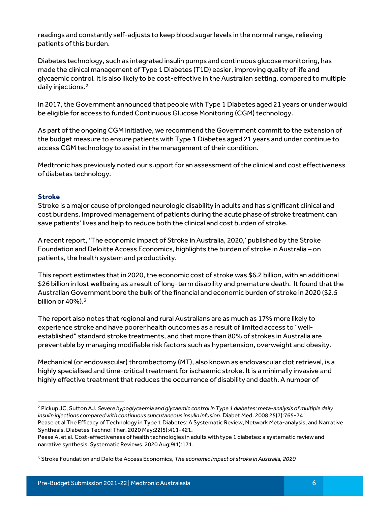readings and constantly self-adjusts to keep blood sugar levels in the normal range, relieving patients of this burden.

Diabetes technology, such as integrated insulin pumps and continuous glucose monitoring, has made the clinical management of Type 1 Diabetes (T1D) easier, improving quality of life and glycaemic control. It is also likely to be cost-effective in the Australian setting, compared to multiple daily injections.<sup>2</sup>

In 2017, the Government announced that people with Type 1 Diabetes aged 21 years or under would be eligible for access to funded Continuous Glucose Monitoring (CGM) technology.

As part of the ongoing CGM initiative, we recommend the Government commit to the extension of the budget measure to ensure patients with Type 1 Diabetes aged 21 years and under continue to access CGM technology to assist in the management of their condition.

Medtronic has previously noted our support for an assessment of the clinical and cost effectiveness of diabetes technology.

# Stroke

Stroke is a major cause of prolonged neurologic disability in adults and has significant clinical and cost burdens. Improved management of patients during the acute phase of stroke treatment can save patients' lives and help to reduce both the clinical and cost burden of stroke.

A recent report, 'The economic impact of Stroke in Australia, 2020,' published by the Stroke Foundation and Deloitte Access Economics, highlights the burden of stroke in Australia – on patients, the health system and productivity.

This report estimates that in 2020, the economic cost of stroke was \$6.2 billion, with an additional \$26 billion in lost wellbeing as a result of long-term disability and premature death. It found that the Australian Government bore the bulk of the financial and economic burden of stroke in 2020 (\$2.5 billion or  $40\%$ ).<sup>3</sup>

The report also notes that regional and rural Australians are as much as 17% more likely to experience stroke and have poorer health outcomes as a result of limited access to "wellestablished" standard stroke treatments, and that more than 80% of strokes in Australia are preventable by managing modifiable risk factors such as hypertension, overweight and obesity.

Mechanical (or endovascular) thrombectomy (MT), also known as endovascular clot retrieval, is a highly specialised and time-critical treatment for ischaemic stroke. It is a minimally invasive and highly effective treatment that reduces the occurrence of disability and death. A number of

<sup>2</sup> Pickup JC, Sutton AJ. Severe hypoglycaemia and glycaemic control in Type 1 diabetes: meta-analysis of multiple daily insulin injections compared with continuous subcutaneous insulin infusion. Diabet Med. 2008 25(7):765-74 Pease et al The Efficacy of Technology in Type 1 Diabetes: A Systematic Review, Network Meta-analysis, and Narrative Synthesis. Diabetes Technol Ther. 2020 May;22(5):411-421.

Pease A, et al. Cost-effectiveness of health technologies in adults with type 1 diabetes: a systematic review and narrative synthesis. Systematic Reviews. 2020 Aug;9(1):171.

<sup>&</sup>lt;sup>3</sup> Stroke Foundation and Deloitte Access Economics, *The economic impact of stroke in Australia, 2020*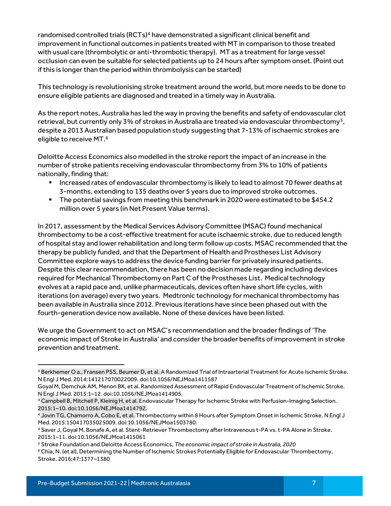randomised controlled trials (RCTs)<sup>4</sup> have demonstrated a significant clinical benefit and improvement in functional outcomes in patients treated with MT in comparison to those treated with usual care (thrombolytic or anti-thrombotic therapy). MT as a treatment for large vessel occlusion can even be suitable for selected patients up to 24 hours after symptom onset. (Point out if this is longer than the period within thrombolysis can be started)

This technology is revolutionising stroke treatment around the world, but more needs to be done to ensure eligible patients are diagnosed and treated in a timely way in Australia.

As the report notes, Australia has led the way in proving the benefits and safety of endovascular clot retrieval, but currently only 3% of strokes in Australia are treated via endovascular thrombectomy<sup>5</sup>, despite a 2013 Australian based population study suggesting that 7-13% of ischaemic strokes are eligible to receive MT.<sup>6</sup>

Deloitte Access Economics also modelled in the stroke report the impact of an increase in the number of stroke patients receiving endovascular thrombectomy from 3% to 10% of patients nationally, finding that:

- **Increased rates of endovascular thrombectomy is likely to lead to almost 70 fewer deaths at** 3-months, extending to 135 deaths over 5 years due to improved stroke outcomes.
- The potential savings from meeting this benchmark in 2020 were estimated to be \$454.2 million over 5 years (in Net Present Value terms).

In 2017, assessment by the Medical Services Advisory Committee (MSAC) found mechanical thrombectomy to be a cost-effective treatment for acute ischaemic stroke, due to reduced length of hospital stay and lower rehabilitation and long term follow up costs. MSAC recommended that the therapy be publicly funded, and that the Department of Health and Prostheses List Advisory Committee explore ways to address the device funding barrier for privately insured patients. Despite this clear recommendation, there has been no decision made regarding including devices required for Mechanical Thrombectomy on Part C of the Prostheses List. Medical technology evolves at a rapid pace and, unlike pharmaceuticals, devices often have short life cycles, with iterations (on average) every two years. Medtronic technology for mechanical thrombectomy has been available in Australia since 2012. Previous iterations have since been phased out with the fourth-generation device now available. None of these devices have been listed.

We urge the Government to act on MSAC's recommendation and the broader findings of 'The economic impact of Stroke in Australia' and consider the broader benefits of improvement in stroke prevention and treatment.

<sup>4</sup> Berkhemer O a., Fransen PSS, Beumer D, et al. A Randomized Trial of Intraarterial Treatment for Acute Ischemic Stroke. N Engl J Med. 2014:141217070022009. doi:10.1056/NEJMoa1411587

Goyal M, Demchuk AM, Menon BK, et al. Randomized Assessment of Rapid Endovascular Treatment of Ischemic Stroke. N Engl J Med. 2015:1–12. doi:10.1056/NEJMoa1414905.

<sup>4</sup> Campbell B, Mitchell P, Kleinig H, et al. Endovascular Therapy for Ischemic Stroke with Perfusion-Imaging Selection. 2015:1–10. doi:10.1056/NEJMoa1414792.

<sup>4</sup> Jovin TG, Chamorro A, Cobo E, et al. Thrombectomy within 8 Hours after Symptom Onset in Ischemic Stroke. N Engl J Med. 2015:150417035025009. doi:10.1056/NEJMoa1503780.

<sup>4</sup> Saver J, Goyal M, Bonafe A, et al. Stent-Retriever Thrombectomy after Intravenous t-PA vs. t-PA Alone in Stroke. 2015:1–11. doi:10.1056/NEJMoa1415061

<sup>&</sup>lt;sup>5</sup> Stroke Foundation and Deloitte Access Economics, The economic impact of stroke in Australia, 2020

<sup>6</sup> Chia, N. (et al), Determining the Number of Ischemic Strokes Potentially Eligible for Endovascular Thrombectomy, Stroke. 2016;47:1377–1380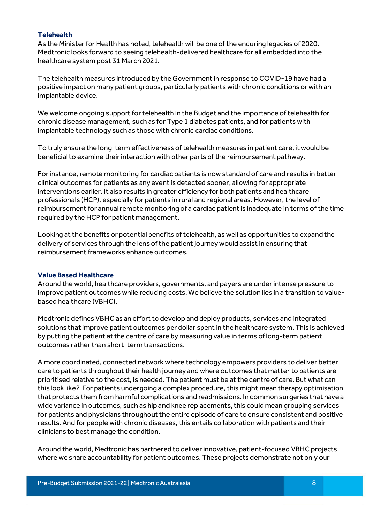# **Telehealth**

As the Minister for Health has noted, telehealth will be one of the enduring legacies of 2020. Medtronic looks forward to seeing telehealth-delivered healthcare for all embedded into the healthcare system post 31 March 2021.

The telehealth measures introduced by the Government in response to COVID-19 have had a positive impact on many patient groups, particularly patients with chronic conditions or with an implantable device.

We welcome ongoing support for telehealth in the Budget and the importance of telehealth for chronic disease management, such as for Type 1 diabetes patients, and for patients with implantable technology such as those with chronic cardiac conditions.

To truly ensure the long-term effectiveness of telehealth measures in patient care, it would be beneficial to examine their interaction with other parts of the reimbursement pathway.

For instance, remote monitoring for cardiac patients is now standard of care and results in better clinical outcomes for patients as any event is detected sooner, allowing for appropriate interventions earlier. It also results in greater efficiency for both patients and healthcare professionals (HCP), especially for patients in rural and regional areas. However, the level of reimbursement for annual remote monitoring of a cardiac patient is inadequate in terms of the time required by the HCP for patient management.

Looking at the benefits or potential benefits of telehealth, as well as opportunities to expand the delivery of services through the lens of the patient journey would assist in ensuring that reimbursement frameworks enhance outcomes.

#### Value Based Healthcare

Around the world, healthcare providers, governments, and payers are under intense pressure to improve patient outcomes while reducing costs. We believe the solution lies in a transition to valuebased healthcare (VBHC).

Medtronic defines VBHC as an effort to develop and deploy products, services and integrated solutions that improve patient outcomes per dollar spent in the healthcare system. This is achieved by putting the patient at the centre of care by measuring value in terms of long-term patient outcomes rather than short-term transactions.

A more coordinated, connected network where technology empowers providers to deliver better care to patients throughout their health journey and where outcomes that matter to patients are prioritised relative to the cost, is needed. The patient must be at the centre of care. But what can this look like? For patients undergoing a complex procedure, this might mean therapy optimisation that protects them from harmful complications and readmissions. In common surgeries that have a wide variance in outcomes, such as hip and knee replacements, this could mean grouping services for patients and physicians throughout the entire episode of care to ensure consistent and positive results. And for people with chronic diseases, this entails collaboration with patients and their clinicians to best manage the condition.

Around the world, Medtronic has partnered to deliver innovative, patient-focused VBHC projects where we share accountability for patient outcomes. These projects demonstrate not only our